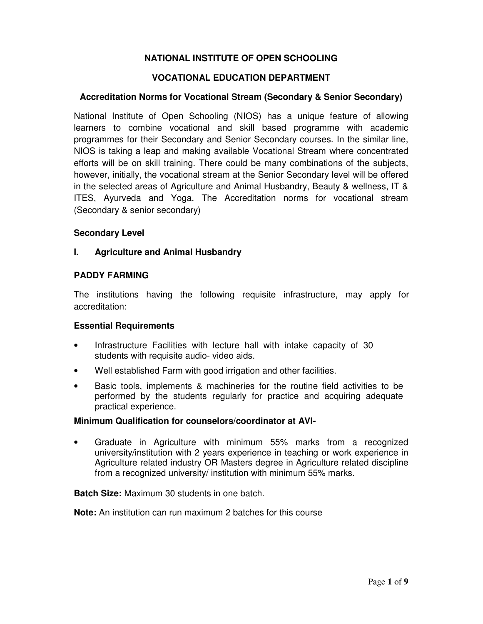# **NATIONAL INSTITUTE OF OPEN SCHOOLING**

## **VOCATIONAL EDUCATION DEPARTMENT**

## **Accreditation Norms for Vocational Stream (Secondary & Senior Secondary)**

National Institute of Open Schooling (NIOS) has a unique feature of allowing learners to combine vocational and skill based programme with academic programmes for their Secondary and Senior Secondary courses. In the similar line, NIOS is taking a leap and making available Vocational Stream where concentrated efforts will be on skill training. There could be many combinations of the subjects, however, initially, the vocational stream at the Senior Secondary level will be offered in the selected areas of Agriculture and Animal Husbandry, Beauty & wellness, IT & ITES, Ayurveda and Yoga. The Accreditation norms for vocational stream (Secondary & senior secondary)

#### **Secondary Level**

#### **I. Agriculture and Animal Husbandry**

#### **PADDY FARMING**

The institutions having the following requisite infrastructure, may apply for accreditation:

#### **Essential Requirements**

- Infrastructure Facilities with lecture hall with intake capacity of 30 students with requisite audio- video aids.
- Well established Farm with good irrigation and other facilities.
- Basic tools, implements & machineries for the routine field activities to be performed by the students regularly for practice and acquiring adequate practical experience.

#### **Minimum Qualification for counselors/coordinator at AVI-**

• Graduate in Agriculture with minimum 55% marks from a recognized university/institution with 2 years experience in teaching or work experience in Agriculture related industry OR Masters degree in Agriculture related discipline from a recognized university/ institution with minimum 55% marks.

#### **Batch Size:** Maximum 30 students in one batch.

**Note:** An institution can run maximum 2 batches for this course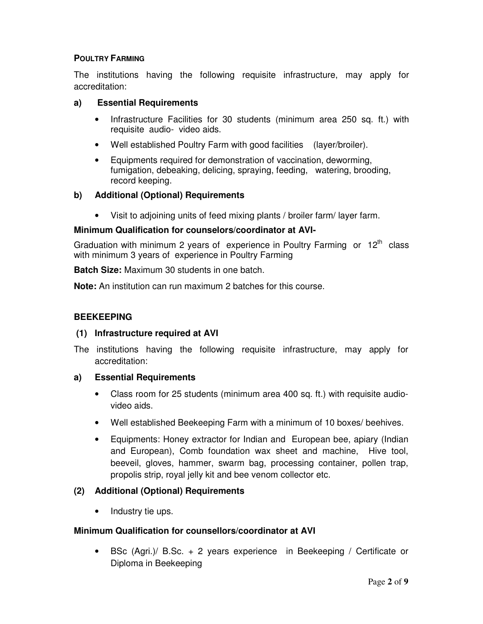## **POULTRY FARMING**

The institutions having the following requisite infrastructure, may apply for accreditation:

## **a) Essential Requirements**

- Infrastructure Facilities for 30 students (minimum area 250 sq. ft.) with requisite audio- video aids.
- Well established Poultry Farm with good facilities (layer/broiler).
- Equipments required for demonstration of vaccination, deworming, fumigation, debeaking, delicing, spraying, feeding, watering, brooding, record keeping.

## **b) Additional (Optional) Requirements**

• Visit to adjoining units of feed mixing plants / broiler farm/ layer farm.

#### **Minimum Qualification for counselors/coordinator at AVI-**

Graduation with minimum 2 years of experience in Poultry Farming or  $12<sup>th</sup>$  class with minimum 3 years of experience in Poultry Farming

**Batch Size:** Maximum 30 students in one batch.

**Note:** An institution can run maximum 2 batches for this course.

## **BEEKEEPING**

#### **(1) Infrastructure required at AVI**

The institutions having the following requisite infrastructure, may apply for accreditation:

#### **a) Essential Requirements**

- Class room for 25 students (minimum area 400 sq. ft.) with requisite audiovideo aids.
- Well established Beekeeping Farm with a minimum of 10 boxes/ beehives.
- Equipments: Honey extractor for Indian and European bee, apiary (Indian and European), Comb foundation wax sheet and machine, Hive tool, beeveil, gloves, hammer, swarm bag, processing container, pollen trap, propolis strip, royal jelly kit and bee venom collector etc.

# **(2) Additional (Optional) Requirements**

• Industry tie ups.

#### **Minimum Qualification for counsellors/coordinator at AVI**

• BSc (Agri.)/ B.Sc. + 2 years experience in Beekeeping / Certificate or Diploma in Beekeeping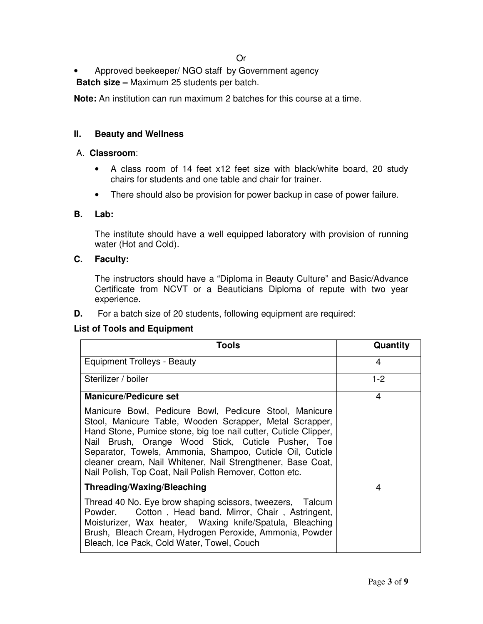• Approved beekeeper/ NGO staff by Government agency **Batch size –** Maximum 25 students per batch.

**Note:** An institution can run maximum 2 batches for this course at a time.

## **II. Beauty and Wellness**

#### A. **Classroom**:

- A class room of 14 feet x12 feet size with black/white board, 20 study chairs for students and one table and chair for trainer.
- There should also be provision for power backup in case of power failure.

#### **B. Lab:**

 The institute should have a well equipped laboratory with provision of running water (Hot and Cold).

#### **C. Faculty:**

 The instructors should have a "Diploma in Beauty Culture" and Basic/Advance Certificate from NCVT or a Beauticians Diploma of repute with two year experience.

**D.** For a batch size of 20 students, following equipment are required:

#### **List of Tools and Equipment**

| <b>Tools</b>                                                                                                                                                                                                                                                                                                                                                                                                                                                      | Quantity |
|-------------------------------------------------------------------------------------------------------------------------------------------------------------------------------------------------------------------------------------------------------------------------------------------------------------------------------------------------------------------------------------------------------------------------------------------------------------------|----------|
| Equipment Trolleys - Beauty                                                                                                                                                                                                                                                                                                                                                                                                                                       | 4        |
| Sterilizer / boiler                                                                                                                                                                                                                                                                                                                                                                                                                                               | $1-2$    |
| <b>Manicure/Pedicure set</b><br>Manicure Bowl, Pedicure Bowl, Pedicure Stool, Manicure<br>Stool, Manicure Table, Wooden Scrapper, Metal Scrapper,<br>Hand Stone, Pumice stone, big toe nail cutter, Cuticle Clipper,<br>Nail Brush, Orange Wood Stick, Cuticle Pusher, Toe<br>Separator, Towels, Ammonia, Shampoo, Cuticle Oil, Cuticle<br>cleaner cream, Nail Whitener, Nail Strengthener, Base Coat,<br>Nail Polish, Top Coat, Nail Polish Remover, Cotton etc. | 4        |
| Threading/Waxing/Bleaching                                                                                                                                                                                                                                                                                                                                                                                                                                        | 4        |
| Thread 40 No. Eye brow shaping scissors, tweezers, Talcum<br>Powder, Cotton, Head band, Mirror, Chair, Astringent,<br>Moisturizer, Wax heater, Waxing knife/Spatula, Bleaching<br>Brush, Bleach Cream, Hydrogen Peroxide, Ammonia, Powder<br>Bleach, Ice Pack, Cold Water, Towel, Couch                                                                                                                                                                           |          |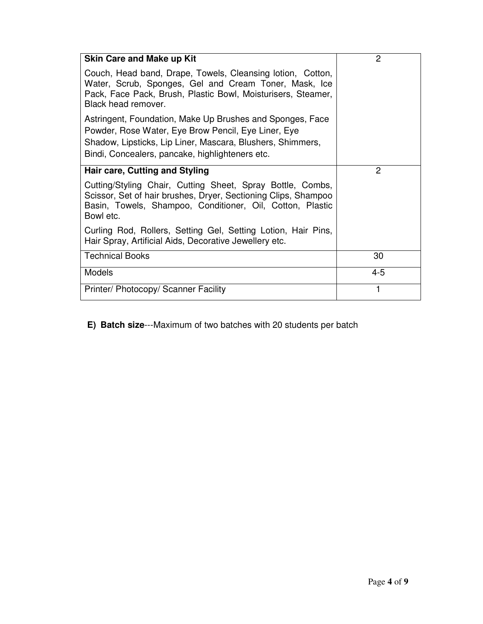| <b>Skin Care and Make up Kit</b>                                                                                                                                                                                                  | 2       |
|-----------------------------------------------------------------------------------------------------------------------------------------------------------------------------------------------------------------------------------|---------|
| Couch, Head band, Drape, Towels, Cleansing lotion, Cotton,<br>Water, Scrub, Sponges, Gel and Cream Toner, Mask, Ice<br>Pack, Face Pack, Brush, Plastic Bowl, Moisturisers, Steamer,<br>Black head remover.                        |         |
| Astringent, Foundation, Make Up Brushes and Sponges, Face<br>Powder, Rose Water, Eye Brow Pencil, Eye Liner, Eye<br>Shadow, Lipsticks, Lip Liner, Mascara, Blushers, Shimmers,<br>Bindi, Concealers, pancake, highlighteners etc. |         |
| Hair care, Cutting and Styling                                                                                                                                                                                                    | 2       |
| Cutting/Styling Chair, Cutting Sheet, Spray Bottle, Combs,<br>Scissor, Set of hair brushes, Dryer, Sectioning Clips, Shampoo<br>Basin, Towels, Shampoo, Conditioner, Oil, Cotton, Plastic<br>Bowl etc.                            |         |
| Curling Rod, Rollers, Setting Gel, Setting Lotion, Hair Pins,<br>Hair Spray, Artificial Aids, Decorative Jewellery etc.                                                                                                           |         |
| <b>Technical Books</b>                                                                                                                                                                                                            | 30      |
| <b>Models</b>                                                                                                                                                                                                                     | $4 - 5$ |
| Printer/ Photocopy/ Scanner Facility                                                                                                                                                                                              |         |

**E) Batch size**---Maximum of two batches with 20 students per batch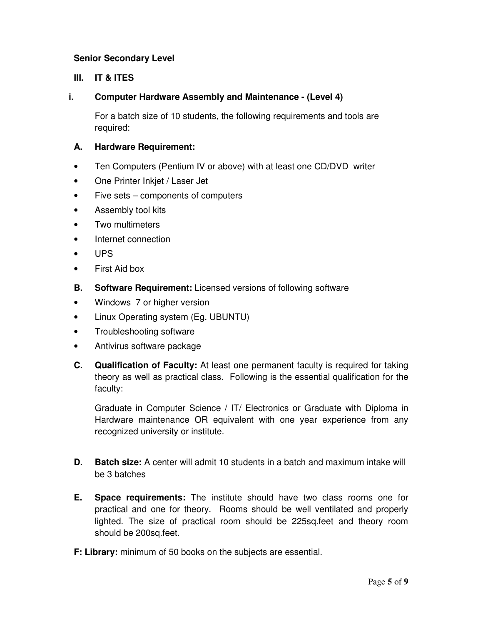# **Senior Secondary Level**

# **III. IT & ITES**

# **i. Computer Hardware Assembly and Maintenance - (Level 4)**

 For a batch size of 10 students, the following requirements and tools are required:

# **A. Hardware Requirement:**

- Ten Computers (Pentium IV or above) with at least one CD/DVD writer
- One Printer Inkjet / Laser Jet
- Five sets components of computers
- Assembly tool kits
- Two multimeters
- Internet connection
- UPS
- First Aid box
- **B. Software Requirement:** Licensed versions of following software
- Windows 7 or higher version
- Linux Operating system (Eg. UBUNTU)
- Troubleshooting software
- Antivirus software package
- **C. Qualification of Faculty:** At least one permanent faculty is required for taking theory as well as practical class. Following is the essential qualification for the faculty:

 Graduate in Computer Science / IT/ Electronics or Graduate with Diploma in Hardware maintenance OR equivalent with one year experience from any recognized university or institute.

- **D. Batch size:** A center will admit 10 students in a batch and maximum intake will be 3 batches
- **E. Space requirements:** The institute should have two class rooms one for practical and one for theory. Rooms should be well ventilated and properly lighted. The size of practical room should be 225sq.feet and theory room should be 200sq.feet.
- **F: Library:** minimum of 50 books on the subjects are essential.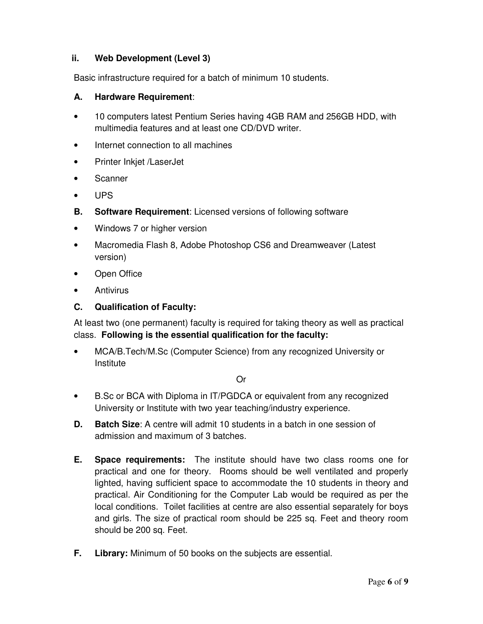# **ii. Web Development (Level 3)**

Basic infrastructure required for a batch of minimum 10 students.

## **A. Hardware Requirement**:

- 10 computers latest Pentium Series having 4GB RAM and 256GB HDD, with multimedia features and at least one CD/DVD writer.
- Internet connection to all machines
- Printer Inkjet /LaserJet
- **Scanner**
- UPS
- **B. Software Requirement**: Licensed versions of following software
- Windows 7 or higher version
- Macromedia Flash 8, Adobe Photoshop CS6 and Dreamweaver (Latest version)
- Open Office
- Antivirus

## **C. Qualification of Faculty:**

At least two (one permanent) faculty is required for taking theory as well as practical class. **Following is the essential qualification for the faculty:** 

• MCA/B.Tech/M.Sc (Computer Science) from any recognized University or Institute

#### Or

- B.Sc or BCA with Diploma in IT/PGDCA or equivalent from any recognized University or Institute with two year teaching/industry experience.
- **D. Batch Size**: A centre will admit 10 students in a batch in one session of admission and maximum of 3 batches.
- **E. Space requirements:** The institute should have two class rooms one for practical and one for theory. Rooms should be well ventilated and properly lighted, having sufficient space to accommodate the 10 students in theory and practical. Air Conditioning for the Computer Lab would be required as per the local conditions. Toilet facilities at centre are also essential separately for boys and girls. The size of practical room should be 225 sq. Feet and theory room should be 200 sq. Feet.
- **F. Library:** Minimum of 50 books on the subjects are essential.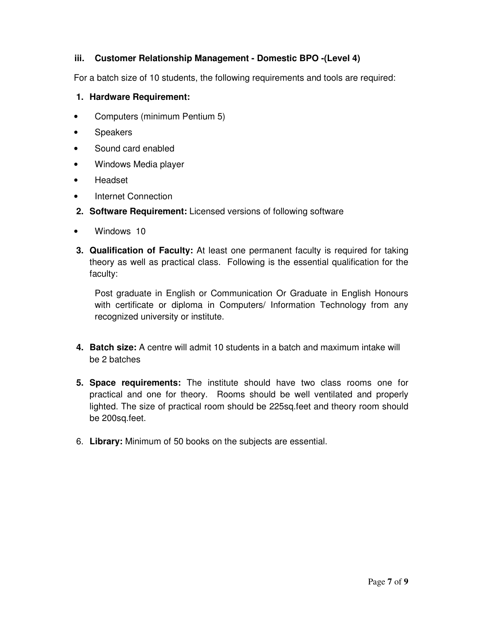# **iii. Customer Relationship Management - Domestic BPO -(Level 4)**

For a batch size of 10 students, the following requirements and tools are required:

- **1. Hardware Requirement:**
- Computers (minimum Pentium 5)
- Speakers
- Sound card enabled
- Windows Media player
- Headset
- Internet Connection
- **2. Software Requirement:** Licensed versions of following software
- Windows 10
- **3. Qualification of Faculty:** At least one permanent faculty is required for taking theory as well as practical class. Following is the essential qualification for the faculty:

 Post graduate in English or Communication Or Graduate in English Honours with certificate or diploma in Computers/ Information Technology from any recognized university or institute.

- **4. Batch size:** A centre will admit 10 students in a batch and maximum intake will be 2 batches
- **5. Space requirements:** The institute should have two class rooms one for practical and one for theory. Rooms should be well ventilated and properly lighted. The size of practical room should be 225sq.feet and theory room should be 200sq.feet.
- 6. **Library:** Minimum of 50 books on the subjects are essential.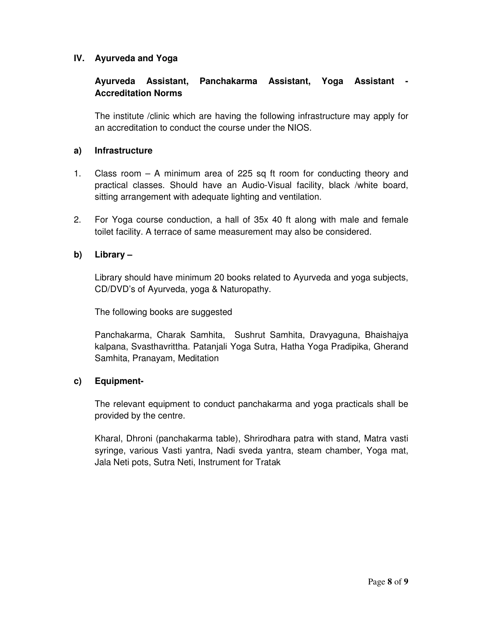# **IV. Ayurveda and Yoga**

# **Ayurveda Assistant, Panchakarma Assistant, Yoga Assistant - Accreditation Norms**

 The institute /clinic which are having the following infrastructure may apply for an accreditation to conduct the course under the NIOS.

## **a) Infrastructure**

- 1. Class room A minimum area of 225 sq ft room for conducting theory and practical classes. Should have an Audio-Visual facility, black /white board, sitting arrangement with adequate lighting and ventilation.
- 2. For Yoga course conduction, a hall of 35x 40 ft along with male and female toilet facility. A terrace of same measurement may also be considered.

# **b) Library –**

 Library should have minimum 20 books related to Ayurveda and yoga subjects, CD/DVD's of Ayurveda, yoga & Naturopathy.

The following books are suggested

 Panchakarma, Charak Samhita, Sushrut Samhita, Dravyaguna, Bhaishajya kalpana, Svasthavrittha. Patanjali Yoga Sutra, Hatha Yoga Pradipika, Gherand Samhita, Pranayam, Meditation

#### **c) Equipment-**

 The relevant equipment to conduct panchakarma and yoga practicals shall be provided by the centre.

 Kharal, Dhroni (panchakarma table), Shrirodhara patra with stand, Matra vasti syringe, various Vasti yantra, Nadi sveda yantra, steam chamber, Yoga mat, Jala Neti pots, Sutra Neti, Instrument for Tratak